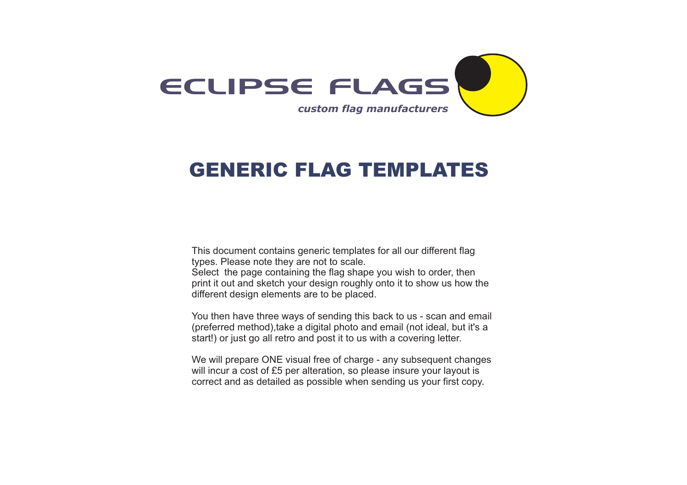

# GENERIC FLAG TEMPLATES

This document contains generic templates for all our different flag types. Please note they are not to scale. Select the page containing the flag shape you wish to order, then print it out and sketch your design roughly onto it to show us how the different design elements are to be placed.

You then have three ways of sending this back to us - scan and email (preferred method),take a digital photo and email (not ideal, but it's a start!) or just go all retro and post it to us with a covering letter.

We will prepare ONE visual free of charge - any subsequent changes will incur a cost of £5 per alteration, so please insure your layout is correct and as detailed as possible when sending us your first copy.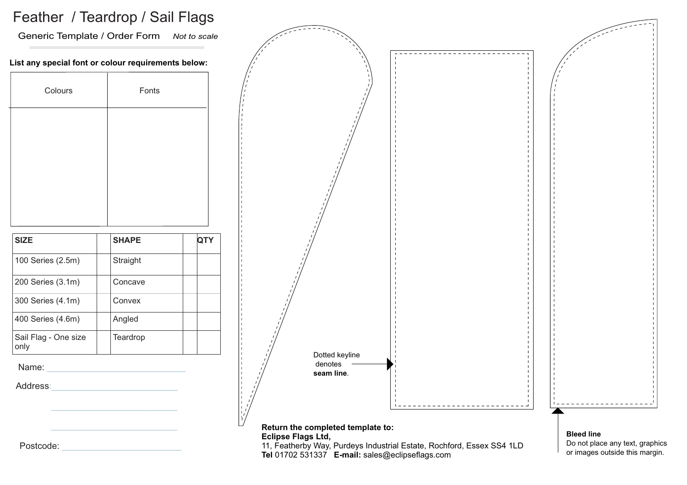### Feather / Teardrop / Sail Flags

Generic Template / Order Form *Not to scale*

#### **List any special font or colour requirements below:**

| Colours                      | Fonts        |            |
|------------------------------|--------------|------------|
|                              |              |            |
|                              |              |            |
|                              |              |            |
|                              |              |            |
| <b>SIZE</b>                  | <b>SHAPE</b> | <b>QTY</b> |
|                              |              |            |
| 100 Series (2.5m)            | Straight     |            |
| 200 Series (3.1m)            | Concave      |            |
| 300 Series (4.1m)            | Convex       |            |
| 400 Series (4.6m)            | Angled       |            |
| Sail Flag - One size<br>only | Teardrop     |            |

Name:

Address:



Postcode: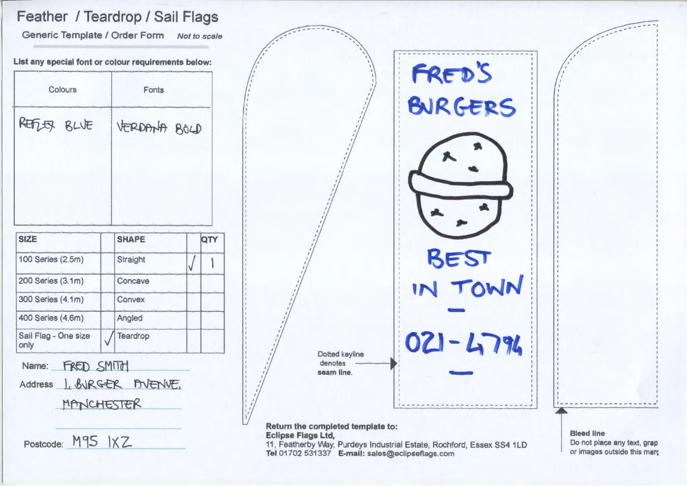## Feather / Teardrop / Sail Flags

Generic Template / Order Form Not to scale

List any special font or colour requirements below:

| REFLER BLVE       | VERDANA BOLD |     |
|-------------------|--------------|-----|
|                   |              |     |
|                   |              |     |
| <b>SIZE</b>       | <b>SHAPE</b> | QTY |
| 100 Series (2.5m) | Straight     |     |
| 200 Series (3.1m) | Concave      |     |

Angled

Teardrop

only FRED SMITH Name: 1. BURGER BUENVE. **Address** MANCHESTER

Postcode: M95 IXZ

400 Series (4.6m)

Sail Flag - One size